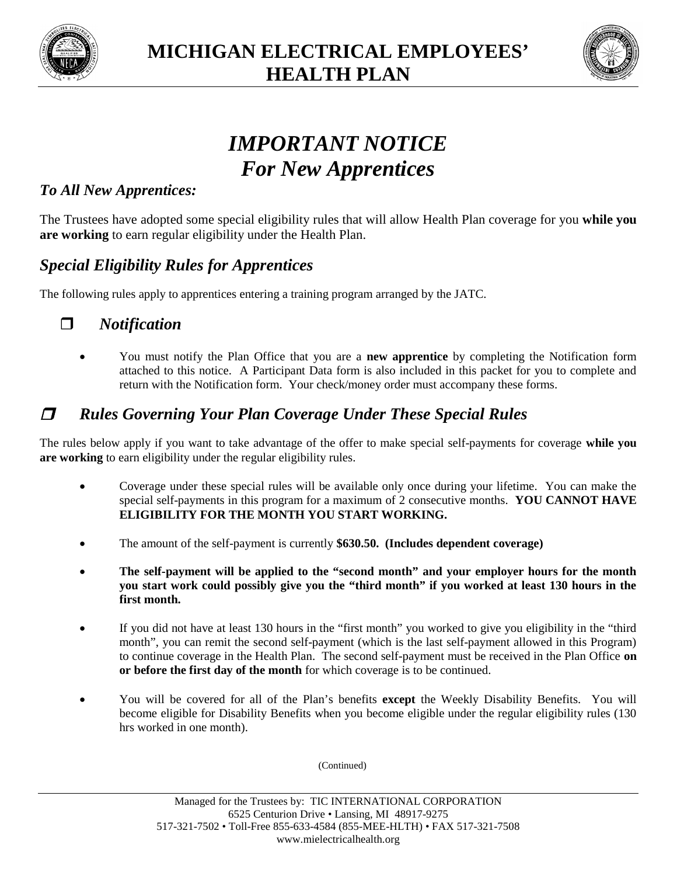



# *IMPORTANT NOTICE For New Apprentices*

#### *To All New Apprentices:*

The Trustees have adopted some special eligibility rules that will allow Health Plan coverage for you **while you are working** to earn regular eligibility under the Health Plan.

#### *Special Eligibility Rules for Apprentices*

The following rules apply to apprentices entering a training program arranged by the JATC.

#### *Notification*

 You must notify the Plan Office that you are a **new apprentice** by completing the Notification form attached to this notice. A Participant Data form is also included in this packet for you to complete and return with the Notification form. Your check/money order must accompany these forms.

### *Rules Governing Your Plan Coverage Under These Special Rules*

The rules below apply if you want to take advantage of the offer to make special self-payments for coverage **while you are working** to earn eligibility under the regular eligibility rules.

- Coverage under these special rules will be available only once during your lifetime. You can make the special self-payments in this program for a maximum of 2 consecutive months. **YOU CANNOT HAVE ELIGIBILITY FOR THE MONTH YOU START WORKING.**
- The amount of the self-payment is currently **\$630.50. (Includes dependent coverage)**
- **The self-payment will be applied to the "second month" and your employer hours for the month you start work could possibly give you the "third month" if you worked at least 130 hours in the first month.**
- If you did not have at least 130 hours in the "first month" you worked to give you eligibility in the "third month", you can remit the second self-payment (which is the last self-payment allowed in this Program) to continue coverage in the Health Plan. The second self-payment must be received in the Plan Office **on or before the first day of the month** for which coverage is to be continued.
- You will be covered for all of the Plan's benefits **except** the Weekly Disability Benefits. You will become eligible for Disability Benefits when you become eligible under the regular eligibility rules (130 hrs worked in one month).

(Continued)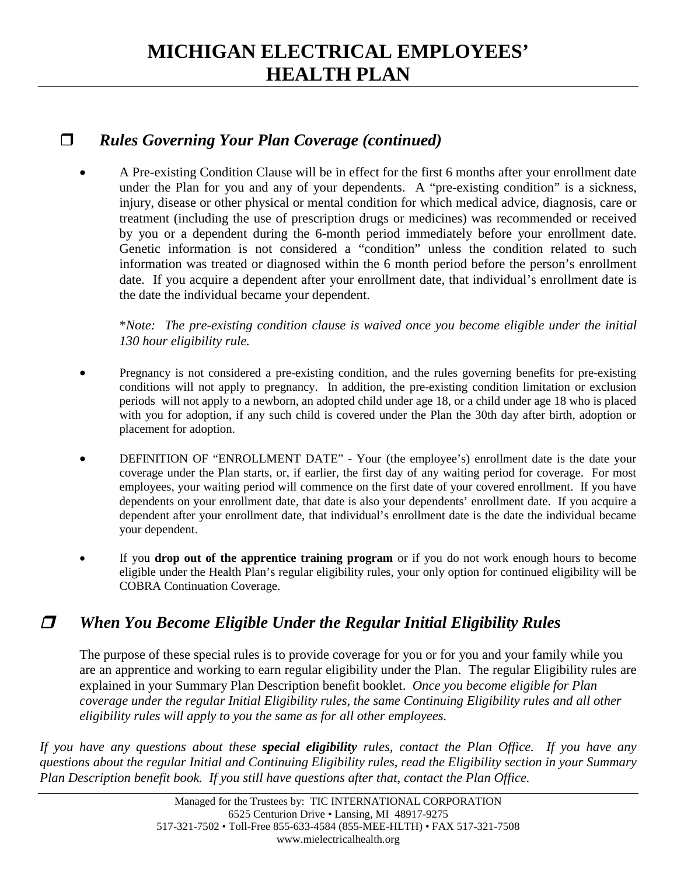### **MICHIGAN ELECTRICAL EMPLOYEES' HEALTH PLAN**

#### *Rules Governing Your Plan Coverage (continued)*

 A Pre-existing Condition Clause will be in effect for the first 6 months after your enrollment date under the Plan for you and any of your dependents. A "pre-existing condition" is a sickness, injury, disease or other physical or mental condition for which medical advice, diagnosis, care or treatment (including the use of prescription drugs or medicines) was recommended or received by you or a dependent during the 6-month period immediately before your enrollment date. Genetic information is not considered a "condition" unless the condition related to such information was treated or diagnosed within the 6 month period before the person's enrollment date. If you acquire a dependent after your enrollment date, that individual's enrollment date is the date the individual became your dependent.

\**Note: The pre-existing condition clause is waived once you become eligible under the initial 130 hour eligibility rule.*

- Pregnancy is not considered a pre-existing condition, and the rules governing benefits for pre-existing conditions will not apply to pregnancy. In addition, the pre-existing condition limitation or exclusion periods will not apply to a newborn, an adopted child under age 18, or a child under age 18 who is placed with you for adoption, if any such child is covered under the Plan the 30th day after birth, adoption or placement for adoption.
- DEFINITION OF "ENROLLMENT DATE" Your (the employee's) enrollment date is the date your coverage under the Plan starts, or, if earlier, the first day of any waiting period for coverage. For most employees, your waiting period will commence on the first date of your covered enrollment. If you have dependents on your enrollment date, that date is also your dependents' enrollment date. If you acquire a dependent after your enrollment date, that individual's enrollment date is the date the individual became your dependent.
- If you **drop out of the apprentice training program** or if you do not work enough hours to become eligible under the Health Plan's regular eligibility rules, your only option for continued eligibility will be COBRA Continuation Coverage.

### *When You Become Eligible Under the Regular Initial Eligibility Rules*

The purpose of these special rules is to provide coverage for you or for you and your family while you are an apprentice and working to earn regular eligibility under the Plan. The regular Eligibility rules are explained in your Summary Plan Description benefit booklet. *Once you become eligible for Plan coverage under the regular Initial Eligibility rules, the same Continuing Eligibility rules and all other eligibility rules will apply to you the same as for all other employees.*

*If you have any questions about these special eligibility rules, contact the Plan Office. If you have any questions about the regular Initial and Continuing Eligibility rules, read the Eligibility section in your Summary Plan Description benefit book. If you still have questions after that, contact the Plan Office.*